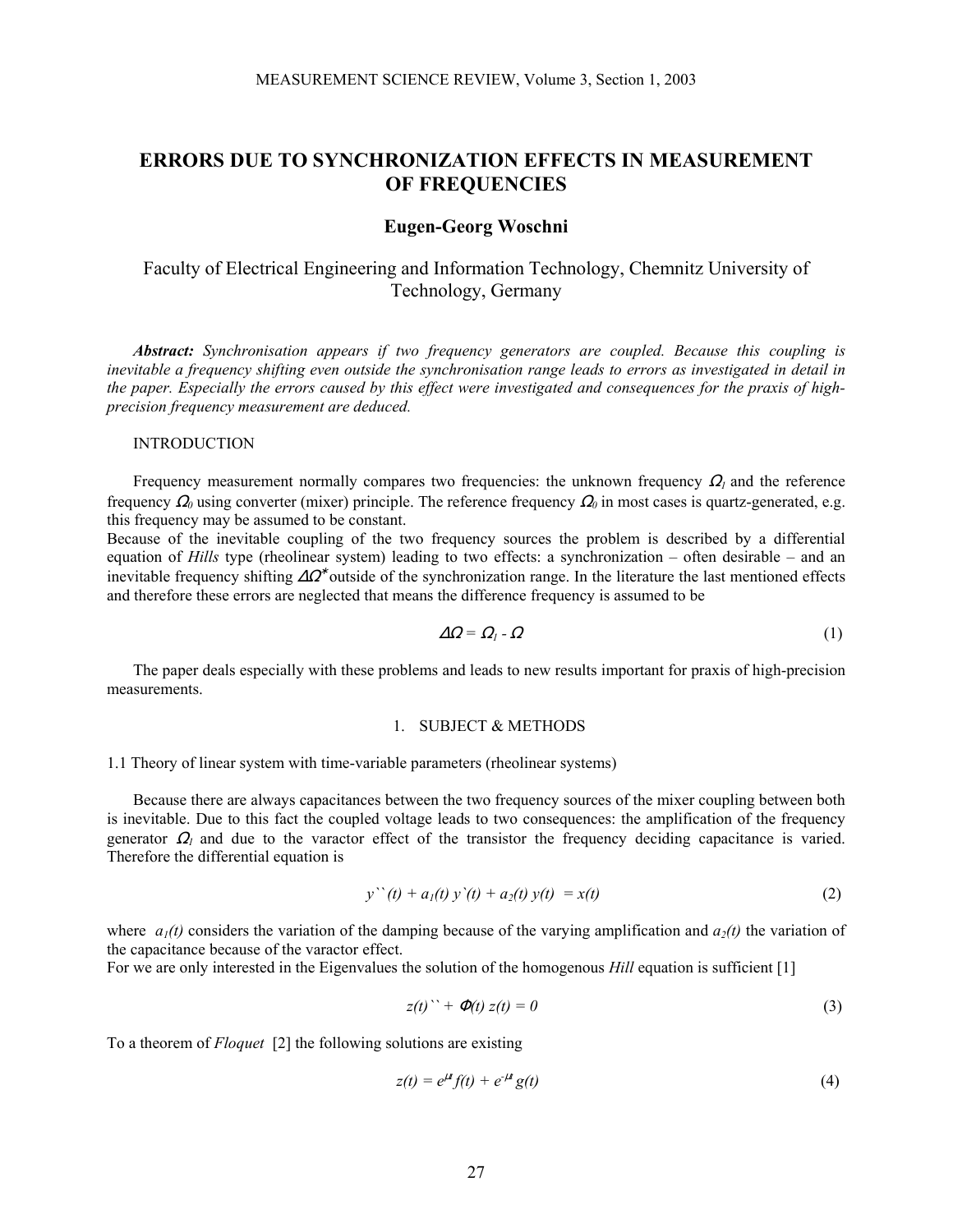# **ERRORS DUE TO SYNCHRONIZATION EFFECTS IN MEASUREMENT OF FREQUENCIES**

## **Eugen-Georg Woschni**

Faculty of Electrical Engineering and Information Technology, Chemnitz University of Technology, Germany

*Abstract: Synchronisation appears if two frequency generators are coupled. Because this coupling is inevitable a frequency shifting even outside the synchronisation range leads to errors as investigated in detail in the paper. Especially the errors caused by this effect were investigated and consequences for the praxis of highprecision frequency measurement are deduced.* 

#### INTRODUCTION

Frequency measurement normally compares two frequencies: the unknown frequency  $\Omega_l$  and the reference frequency  $\Omega_0$  using converter (mixer) principle. The reference frequency  $\Omega_0$  in most cases is quartz-generated, e.g. this frequency may be assumed to be constant.

Because of the inevitable coupling of the two frequency sources the problem is described by a differential equation of *Hills* type (rheolinear system) leading to two effects: a synchronization – often desirable – and an inevitable frequency shifting  $\Delta\Omega^*$  outside of the synchronization range. In the literature the last mentioned effects and therefore these errors are neglected that means the difference frequency is assumed to be

$$
\Delta \Omega = \Omega_l - \Omega \tag{1}
$$

 The paper deals especially with these problems and leads to new results important for praxis of high-precision measurements.

#### 1. SUBJECT & METHODS

1.1 Theory of linear system with time-variable parameters (rheolinear systems)

 Because there are always capacitances between the two frequency sources of the mixer coupling between both is inevitable. Due to this fact the coupled voltage leads to two consequences: the amplification of the frequency generator  $\Omega_l$  and due to the varactor effect of the transistor the frequency deciding capacitance is varied. Therefore the differential equation is

$$
y''(t) + a_1(t) y'(t) + a_2(t) y(t) = x(t)
$$
\n(2)

where  $a_1(t)$  considers the variation of the damping because of the varying amplification and  $a_2(t)$  the variation of the capacitance because of the varactor effect.

For we are only interested in the Eigenvalues the solution of the homogenous *Hill* equation is sufficient [1]

$$
z(t)'' + \Phi(t) z(t) = 0 \tag{3}
$$

To a theorem of *Floquet* [2] the following solutions are existing

$$
z(t) = e^{\mu t} f(t) + e^{-\mu t} g(t)
$$
\n(4)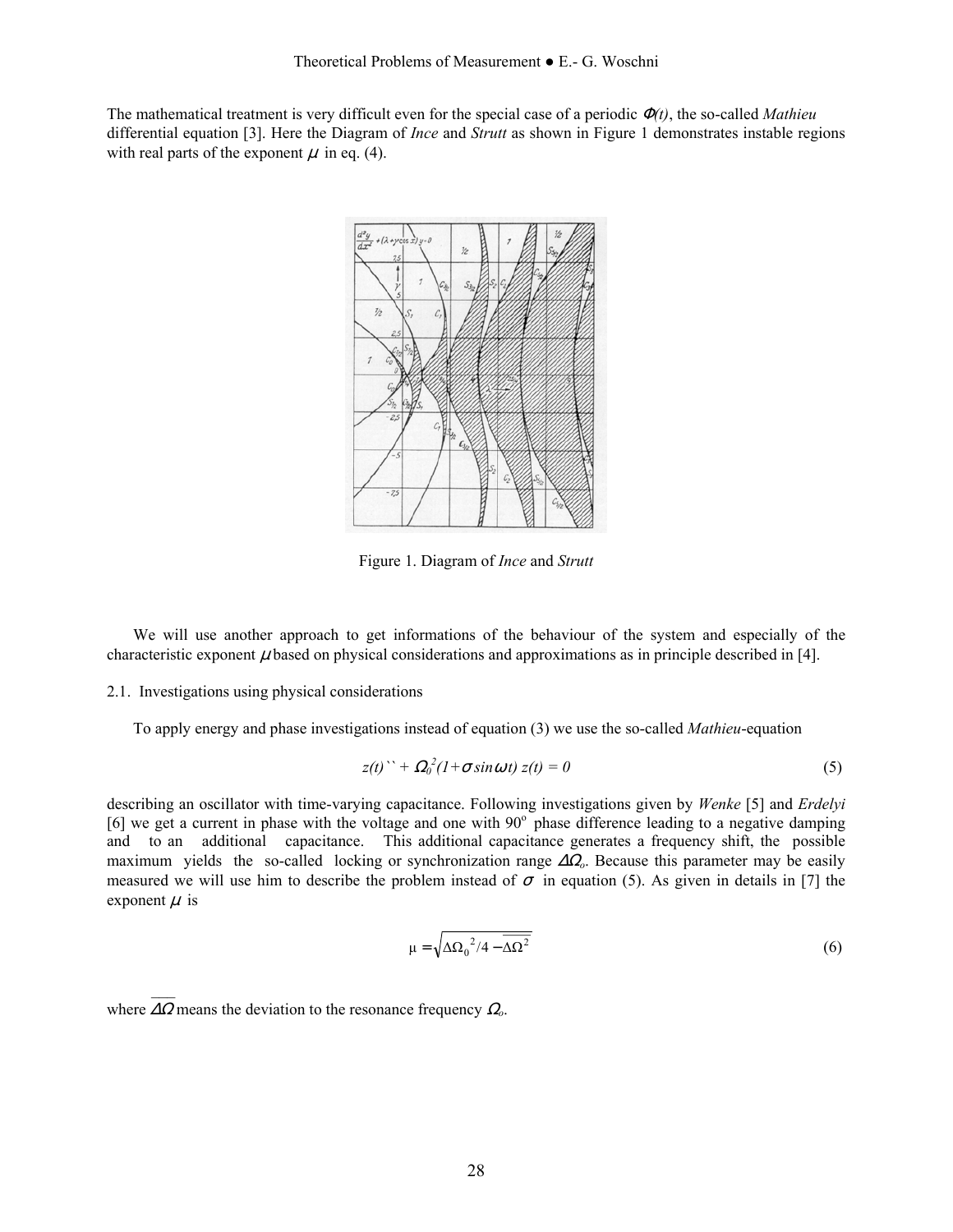The mathematical treatment is very difficult even for the special case of a periodic Φ*(t)*, the so-called *Mathieu*  differential equation [3]. Here the Diagram of *Ince* and *Strutt* as shown in Figure 1 demonstrates instable regions with real parts of the exponent  $\mu$  in eq. (4).



Figure 1. Diagram of *Ince* and *Strutt* 

 We will use another approach to get informations of the behaviour of the system and especially of the characteristic exponent  $\mu$  based on physical considerations and approximations as in principle described in [4].

## 2.1. Investigations using physical considerations

To apply energy and phase investigations instead of equation (3) we use the so-called *Mathieu*-equation

$$
z(t)'' + \Omega_0^2 (1 + \sigma \sin \omega t) z(t) = 0
$$
\n(5)

describing an oscillator with time-varying capacitance. Following investigations given by *Wenke* [5] and *Erdelyi* [6] we get a current in phase with the voltage and one with  $90^\circ$  phase difference leading to a negative damping and to an additional capacitance. This additional capacitance generates a frequency shift, the possible maximum yields the so-called locking or synchronization range ∆Ω*o*. Because this parameter may be easily measured we will use him to describe the problem instead of  $\sigma$  in equation (5). As given in details in [7] the exponent  $\mu$  is

$$
\mu = \sqrt{\Delta \Omega_0^2 / 4 - \overline{\Delta \Omega^2}}
$$
 (6)

```
where ∆Ω means the deviation to the resonance frequency Ωo.
```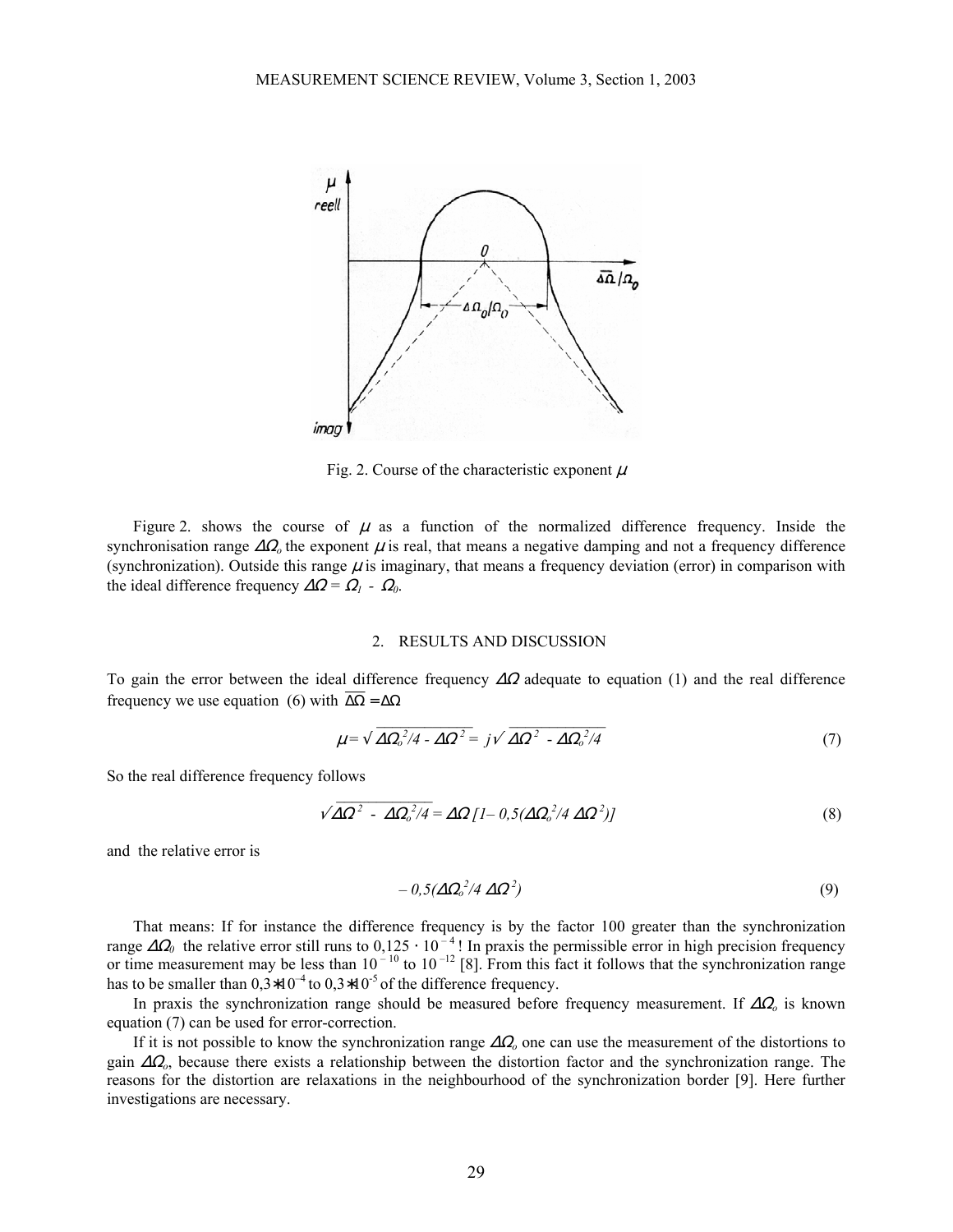

Fig. 2. Course of the characteristic exponent  $\mu$ 

Figure 2. shows the course of  $\mu$  as a function of the normalized difference frequency. Inside the synchronisation range  $\Delta\Omega$ <sub>o</sub> the exponent  $\mu$  is real, that means a negative damping and not a frequency difference (synchronization). Outside this range  $\mu$  is imaginary, that means a frequency deviation (error) in comparison with the ideal difference frequency  $\Delta \Omega = \Omega_l - \Omega_0$ .

#### 2. RESULTS AND DISCUSSION

To gain the error between the ideal difference frequency  $\Delta\Omega$  adequate to equation (1) and the real difference frequency we use equation (6) with  $\overline{\Delta\Omega} = \Delta\Omega$ 

$$
\mu = \sqrt{\Delta \Omega_o^2 / 4 - \Delta \Omega^2} = j\sqrt{\Delta \Omega^2 - \Delta \Omega_o^2 / 4}
$$
\n(7)

So the real difference frequency follows

$$
\sqrt{\Delta \Omega^2 - \Delta \Omega_0^2/4} = \Delta \Omega \left[1 - 0.5(\Delta \Omega_0^2/4 \Delta \Omega^2)\right]
$$
\n(8)

and the relative error is

$$
-0.5(\Delta\Omega_o^2/4\,\Delta\Omega^2) \tag{9}
$$

 That means: If for instance the difference frequency is by the factor 100 greater than the synchronization range  $\Delta\Omega_0$  the relative error still runs to  $0,125 \cdot 10^{-4}$ ! In praxis the permissible error in high precision frequency or time measurement may be less than  $10^{-10}$  to  $10^{-12}$  [8]. From this fact it follows that the synchronization range has to be smaller than  $0.3*10^{-4}$  to  $0.3*10^{-5}$  of the difference frequency.

 In praxis the synchronization range should be measured before frequency measurement. If ∆Ω*o* is known equation (7) can be used for error-correction.

 If it is not possible to know the synchronization range ∆Ω*o* one can use the measurement of the distortions to gain ∆Ω*o*, because there exists a relationship between the distortion factor and the synchronization range. The reasons for the distortion are relaxations in the neighbourhood of the synchronization border [9]. Here further investigations are necessary.